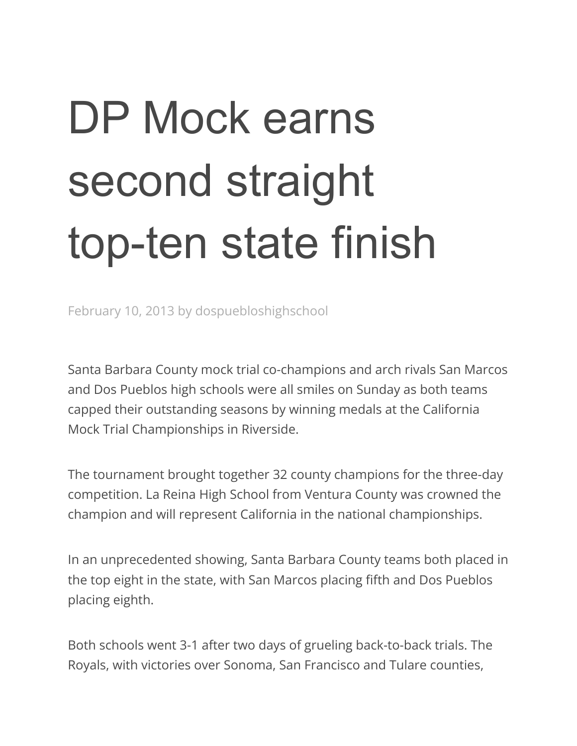## DP Mock earns second straight top-ten state finish

February 10, 2013 by dospuebloshighschool

Santa Barbara County mock trial co-champions and arch rivals San Marcos and Dos Pueblos high schools were all smiles on Sunday as both teams capped their outstanding seasons by winning medals at the California Mock Trial Championships in Riverside.

The tournament brought together 32 county champions for the three-day competition. La Reina High School from Ventura County was crowned the champion and will represent California in the national championships.

In an unprecedented showing, Santa Barbara County teams both placed in the top eight in the state, with San Marcos placing fifth and Dos Pueblos placing eighth.

Both schools went 3-1 after two days of grueling back-to-back trials. The Royals, with victories over Sonoma, San Francisco and Tulare counties,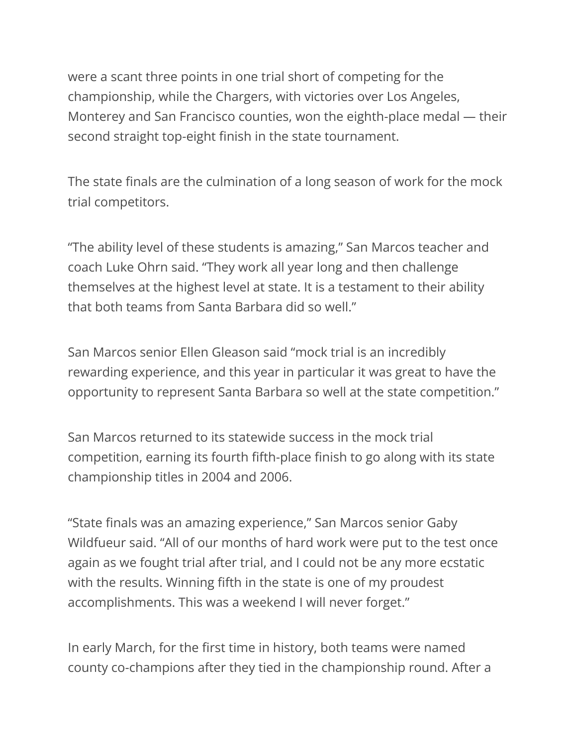were a scant three points in one trial short of competing for the championship, while the Chargers, with victories over Los Angeles, Monterey and San Francisco counties, won the eighth-place medal — their second straight top-eight finish in the state tournament.

The state finals are the culmination of a long season of work for the mock trial competitors.

"The ability level of these students is amazing," San Marcos teacher and coach Luke Ohrn said. "They work all year long and then challenge themselves at the highest level at state. It is a testament to their ability that both teams from Santa Barbara did so well."

San Marcos senior Ellen Gleason said "mock trial is an incredibly rewarding experience, and this year in particular it was great to have the opportunity to represent Santa Barbara so well at the state competition."

San Marcos returned to its statewide success in the mock trial competition, earning its fourth fifth-place finish to go along with its state championship titles in 2004 and 2006.

"State finals was an amazing experience," San Marcos senior Gaby Wildfueur said. "All of our months of hard work were put to the test once again as we fought trial after trial, and I could not be any more ecstatic with the results. Winning fifth in the state is one of my proudest accomplishments. This was a weekend I will never forget."

In early March, for the first time in history, both teams were named county co-champions after they tied in the championship round. After a